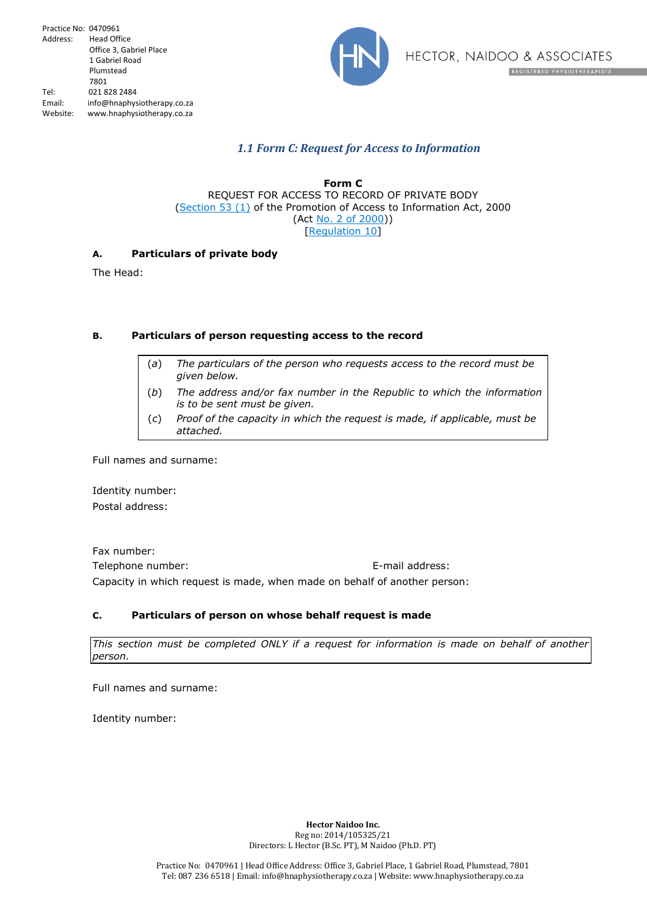

# *1.1 Form C: Request for Access to Information*

**Form C** REQUEST FOR ACCESS TO RECORD OF PRIVATE BODY (Section 53 (1) of the Promotion of Access to Information Act, 2000 (Act No. 2 of 2000)) [Regulation 10]

## **A. Particulars of private body**

The Head:

## **B. Particulars of person requesting access to the record**

- (*a*) *The particulars of the person who requests access to the record must be given below.*
- (*b*) *The address and/or fax number in the Republic to which the information is to be sent must be given.*
- (*c*) *Proof of the capacity in which the request is made, if applicable, must be attached.*

Full names and surname:

Identity number: Postal address:

Fax number: Telephone number: E-mail address: Capacity in which request is made, when made on behalf of another person:

## **C. Particulars of person on whose behalf request is made**

*This section must be completed ONLY if a request for information is made on behalf of another person.*

Full names and surname:

Identity number:

**Hector Naidoo Inc.** Reg no: 2014/105325/21 Directors: L Hector (B.Sc. PT), M Naidoo (Ph.D. PT)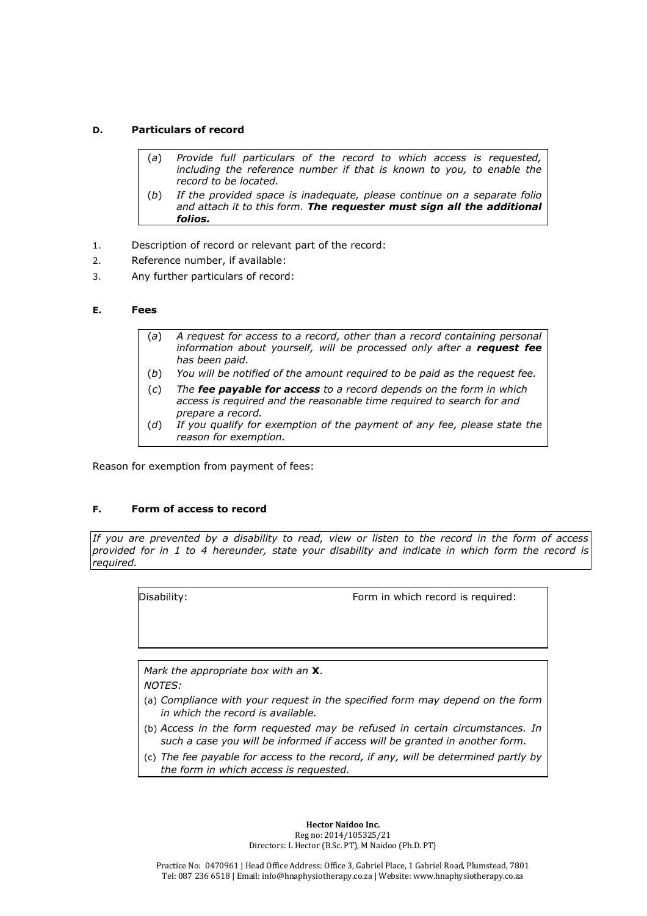## **D. Particulars of record**

- (*a*) *Provide full particulars of the record to which access is requested, including the reference number if that is known to you, to enable the record to be located.*
- (*b*) *If the provided space is inadequate, please continue on a separate folio and attach it to this form. The requester must sign all the additional folios.*
- 1. Description of record or relevant part of the record:
- 2. Reference number, if available:
- 3. Any further particulars of record:

### **E. Fees**

- (*a*) *A request for access to a record, other than a record containing personal information about yourself, will be processed only after a request fee has been paid.*
- (*b*) *You will be notified of the amount required to be paid as the request fee.*
- (*c*) *The fee payable for access to a record depends on the form in which access is required and the reasonable time required to search for and prepare a record.*
- (*d*) *If you qualify for exemption of the payment of any fee, please state the reason for exemption.*

Reason for exemption from payment of fees:

### **F. Form of access to record**

*If you are prevented by a disability to read, view or listen to the record in the form of access provided for in 1 to 4 hereunder, state your disability and indicate in which form the record is required.*

Disability: Form in which record is required:

*Mark the appropriate box with an* **X**. *NOTES:*

- (a) *Compliance with your request in the specified form may depend on the form in which the record is available.*
- (b) *Access in the form requested may be refused in certain circumstances. In such a case you will be informed if access will be granted in another form.*
- (c) *The fee payable for access to the record, if any, will be determined partly by the form in which access is requested.*

**Hector Naidoo Inc.** Reg no: 2014/105325/21 Directors: L Hector (B.Sc. PT), M Naidoo (Ph.D. PT)